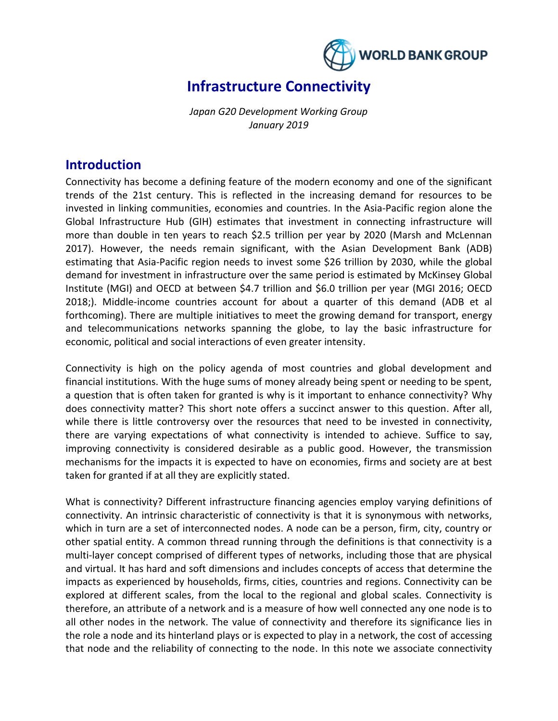

# **Infrastructure Connectivity**

*Japan G20 Development Working Group January 2019*

## **Introduction**

Connectivity has become a defining feature of the modern economy and one of the significant trends of the 21st century. This is reflected in the increasing demand for resources to be invested in linking communities, economies and countries. In the Asia-Pacific region alone the Global Infrastructure Hub (GIH) estimates that investment in connecting infrastructure will more than double in ten years to reach \$2.5 trillion per year by 2020 (Marsh and McLennan 2017). However, the needs remain significant, with the Asian Development Bank (ADB) estimating that Asia-Pacific region needs to invest some \$26 trillion by 2030, while the global demand for investment in infrastructure over the same period is estimated by McKinsey Global Institute (MGI) and OECD at between \$4.7 trillion and \$6.0 trillion per year (MGI 2016; OECD 2018;). Middle-income countries account for about a quarter of this demand (ADB et al forthcoming). There are multiple initiatives to meet the growing demand for transport, energy and telecommunications networks spanning the globe, to lay the basic infrastructure for economic, political and social interactions of even greater intensity.

Connectivity is high on the policy agenda of most countries and global development and financial institutions. With the huge sums of money already being spent or needing to be spent, a question that is often taken for granted is why is it important to enhance connectivity? Why does connectivity matter? This short note offers a succinct answer to this question. After all, while there is little controversy over the resources that need to be invested in connectivity, there are varying expectations of what connectivity is intended to achieve. Suffice to say, improving connectivity is considered desirable as a public good. However, the transmission mechanisms for the impacts it is expected to have on economies, firms and society are at best taken for granted if at all they are explicitly stated.

What is connectivity? Different infrastructure financing agencies employ varying definitions of connectivity. An intrinsic characteristic of connectivity is that it is synonymous with networks, which in turn are a set of interconnected nodes. A node can be a person, firm, city, country or other spatial entity. A common thread running through the definitions is that connectivity is a multi-layer concept comprised of different types of networks, including those that are physical and virtual. It has hard and soft dimensions and includes concepts of access that determine the impacts as experienced by households, firms, cities, countries and regions. Connectivity can be explored at different scales, from the local to the regional and global scales. Connectivity is therefore, an attribute of a network and is a measure of how well connected any one node is to all other nodes in the network. The value of connectivity and therefore its significance lies in the role a node and its hinterland plays or is expected to play in a network, the cost of accessing that node and the reliability of connecting to the node. In this note we associate connectivity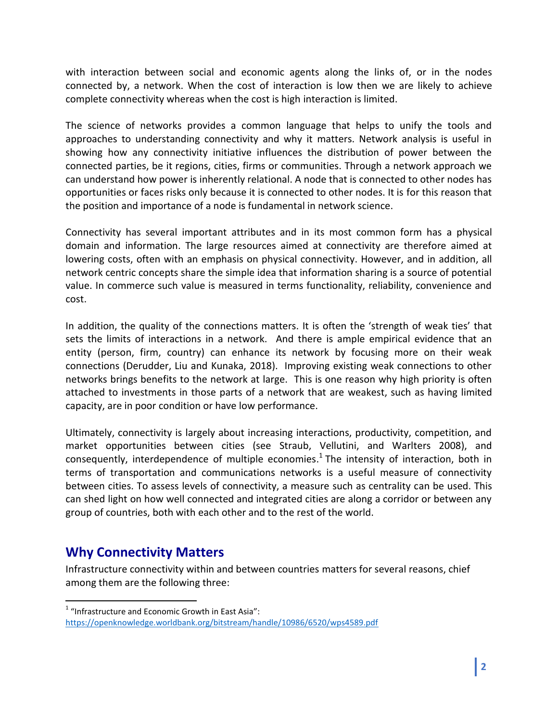with interaction between social and economic agents along the links of, or in the nodes connected by, a network. When the cost of interaction is low then we are likely to achieve complete connectivity whereas when the cost is high interaction is limited.

The science of networks provides a common language that helps to unify the tools and approaches to understanding connectivity and why it matters. Network analysis is useful in showing how any connectivity initiative influences the distribution of power between the connected parties, be it regions, cities, firms or communities. Through a network approach we can understand how power is inherently relational. A node that is connected to other nodes has opportunities or faces risks only because it is connected to other nodes. It is for this reason that the position and importance of a node is fundamental in network science.

Connectivity has several important attributes and in its most common form has a physical domain and information. The large resources aimed at connectivity are therefore aimed at lowering costs, often with an emphasis on physical connectivity. However, and in addition, all network centric concepts share the simple idea that information sharing is a source of potential value. In commerce such value is measured in terms functionality, reliability, convenience and cost.

In addition, the quality of the connections matters. It is often the 'strength of weak ties' that sets the limits of interactions in a network. And there is ample empirical evidence that an entity (person, firm, country) can enhance its network by focusing more on their weak connections (Derudder, Liu and Kunaka, 2018). Improving existing weak connections to other networks brings benefits to the network at large. This is one reason why high priority is often attached to investments in those parts of a network that are weakest, such as having limited capacity, are in poor condition or have low performance.

Ultimately, connectivity is largely about increasing interactions, productivity, competition, and market opportunities between cities (see Straub, Vellutini, and Warlters 2008), and consequently, interdependence of multiple economies. $^1$  The intensity of interaction, both in terms of transportation and communications networks is a useful measure of connectivity between cities. To assess levels of connectivity, a measure such as centrality can be used. This can shed light on how well connected and integrated cities are along a corridor or between any group of countries, both with each other and to the rest of the world.

# **Why Connectivity Matters**

 $\overline{\phantom{a}}$ 

Infrastructure connectivity within and between countries matters for several reasons, chief among them are the following three:

 $1$  "Infrastructure and Economic Growth in East Asia": <https://openknowledge.worldbank.org/bitstream/handle/10986/6520/wps4589.pdf>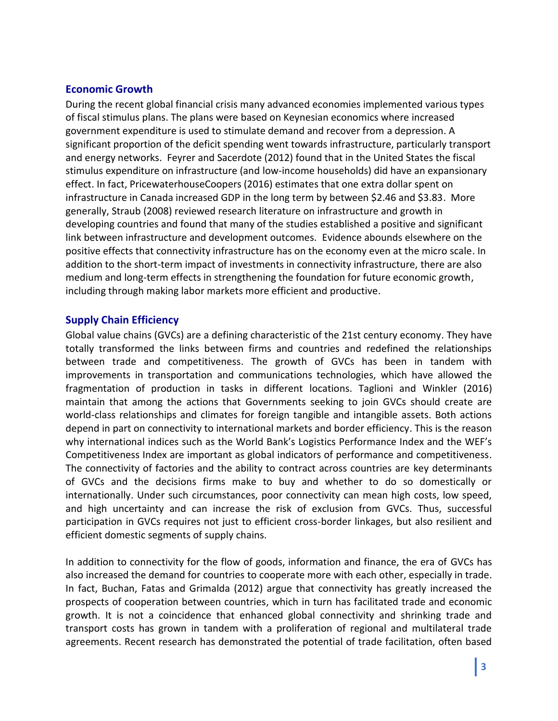### **Economic Growth**

During the recent global financial crisis many advanced economies implemented various types of fiscal stimulus plans. The plans were based on Keynesian economics where increased government expenditure is used to stimulate demand and recover from a depression. A significant proportion of the deficit spending went towards infrastructure, particularly transport and energy networks. Feyrer and Sacerdote (2012) found that in the United States the fiscal stimulus expenditure on infrastructure (and low-income households) did have an expansionary effect. In fact, PricewaterhouseCoopers (2016) estimates that one extra dollar spent on infrastructure in Canada increased GDP in the long term by between \$2.46 and \$3.83. More generally, Straub (2008) reviewed research literature on infrastructure and growth in developing countries and found that many of the studies established a positive and significant link between infrastructure and development outcomes. Evidence abounds elsewhere on the positive effects that connectivity infrastructure has on the economy even at the micro scale. In addition to the short-term impact of investments in connectivity infrastructure, there are also medium and long-term effects in strengthening the foundation for future economic growth, including through making labor markets more efficient and productive.

### **Supply Chain Efficiency**

Global value chains (GVCs) are a defining characteristic of the 21st century economy. They have totally transformed the links between firms and countries and redefined the relationships between trade and competitiveness. The growth of GVCs has been in tandem with improvements in transportation and communications technologies, which have allowed the fragmentation of production in tasks in different locations. Taglioni and Winkler (2016) maintain that among the actions that Governments seeking to join GVCs should create are world-class relationships and climates for foreign tangible and intangible assets. Both actions depend in part on connectivity to international markets and border efficiency. This is the reason why international indices such as the World Bank's Logistics Performance Index and the WEF's Competitiveness Index are important as global indicators of performance and competitiveness. The connectivity of factories and the ability to contract across countries are key determinants of GVCs and the decisions firms make to buy and whether to do so domestically or internationally. Under such circumstances, poor connectivity can mean high costs, low speed, and high uncertainty and can increase the risk of exclusion from GVCs. Thus, successful participation in GVCs requires not just to efficient cross-border linkages, but also resilient and efficient domestic segments of supply chains.

In addition to connectivity for the flow of goods, information and finance, the era of GVCs has also increased the demand for countries to cooperate more with each other, especially in trade. In fact, Buchan, Fatas and Grimalda (2012) argue that connectivity has greatly increased the prospects of cooperation between countries, which in turn has facilitated trade and economic growth. It is not a coincidence that enhanced global connectivity and shrinking trade and transport costs has grown in tandem with a proliferation of regional and multilateral trade agreements. Recent research has demonstrated the potential of trade facilitation, often based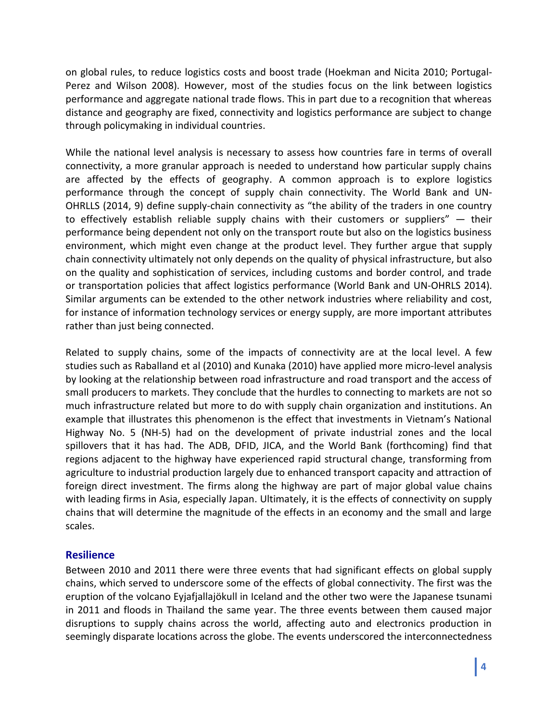on global rules, to reduce logistics costs and boost trade (Hoekman and Nicita 2010; Portugal-Perez and Wilson 2008). However, most of the studies focus on the link between logistics performance and aggregate national trade flows. This in part due to a recognition that whereas distance and geography are fixed, connectivity and logistics performance are subject to change through policymaking in individual countries.

While the national level analysis is necessary to assess how countries fare in terms of overall connectivity, a more granular approach is needed to understand how particular supply chains are affected by the effects of geography. A common approach is to explore logistics performance through the concept of supply chain connectivity. The World Bank and UN-OHRLLS (2014, 9) define supply-chain connectivity as "the ability of the traders in one country to effectively establish reliable supply chains with their customers or suppliers" — their performance being dependent not only on the transport route but also on the logistics business environment, which might even change at the product level. They further argue that supply chain connectivity ultimately not only depends on the quality of physical infrastructure, but also on the quality and sophistication of services, including customs and border control, and trade or transportation policies that affect logistics performance (World Bank and UN-OHRLS 2014). Similar arguments can be extended to the other network industries where reliability and cost, for instance of information technology services or energy supply, are more important attributes rather than just being connected.

Related to supply chains, some of the impacts of connectivity are at the local level. A few studies such as Raballand et al (2010) and Kunaka (2010) have applied more micro-level analysis by looking at the relationship between road infrastructure and road transport and the access of small producers to markets. They conclude that the hurdles to connecting to markets are not so much infrastructure related but more to do with supply chain organization and institutions. An example that illustrates this phenomenon is the effect that investments in Vietnam's National Highway No. 5 (NH-5) had on the development of private industrial zones and the local spillovers that it has had. The ADB, DFID, JICA, and the World Bank (forthcoming) find that regions adjacent to the highway have experienced rapid structural change, transforming from agriculture to industrial production largely due to enhanced transport capacity and attraction of foreign direct investment. The firms along the highway are part of major global value chains with leading firms in Asia, especially Japan. Ultimately, it is the effects of connectivity on supply chains that will determine the magnitude of the effects in an economy and the small and large scales.

### **Resilience**

Between 2010 and 2011 there were three events that had significant effects on global supply chains, which served to underscore some of the effects of global connectivity. The first was the eruption of the volcano Eyjafjallajökull in Iceland and the other two were the Japanese tsunami in 2011 and floods in Thailand the same year. The three events between them caused major disruptions to supply chains across the world, affecting auto and electronics production in seemingly disparate locations across the globe. The events underscored the interconnectedness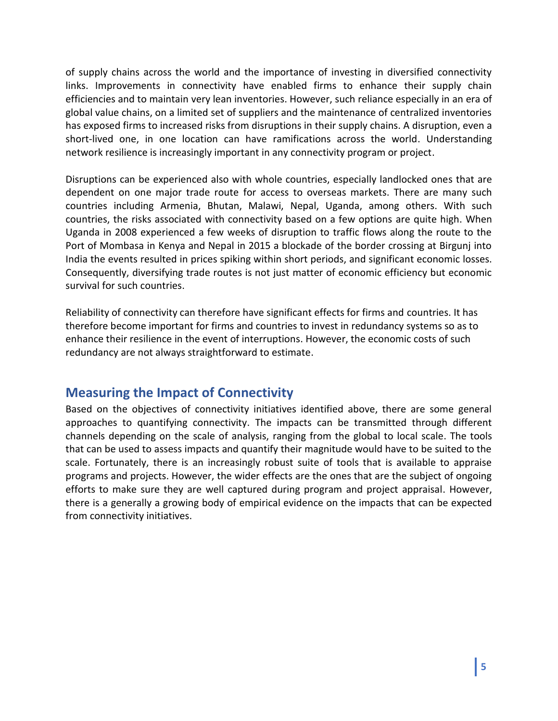of supply chains across the world and the importance of investing in diversified connectivity links. Improvements in connectivity have enabled firms to enhance their supply chain efficiencies and to maintain very lean inventories. However, such reliance especially in an era of global value chains, on a limited set of suppliers and the maintenance of centralized inventories has exposed firms to increased risks from disruptions in their supply chains. A disruption, even a short-lived one, in one location can have ramifications across the world. Understanding network resilience is increasingly important in any connectivity program or project.

Disruptions can be experienced also with whole countries, especially landlocked ones that are dependent on one major trade route for access to overseas markets. There are many such countries including Armenia, Bhutan, Malawi, Nepal, Uganda, among others. With such countries, the risks associated with connectivity based on a few options are quite high. When Uganda in 2008 experienced a few weeks of disruption to traffic flows along the route to the Port of Mombasa in Kenya and Nepal in 2015 a blockade of the border crossing at Birgunj into India the events resulted in prices spiking within short periods, and significant economic losses. Consequently, diversifying trade routes is not just matter of economic efficiency but economic survival for such countries.

Reliability of connectivity can therefore have significant effects for firms and countries. It has therefore become important for firms and countries to invest in redundancy systems so as to enhance their resilience in the event of interruptions. However, the economic costs of such redundancy are not always straightforward to estimate.

# **Measuring the Impact of Connectivity**

Based on the objectives of connectivity initiatives identified above, there are some general approaches to quantifying connectivity. The impacts can be transmitted through different channels depending on the scale of analysis, ranging from the global to local scale. The tools that can be used to assess impacts and quantify their magnitude would have to be suited to the scale. Fortunately, there is an increasingly robust suite of tools that is available to appraise programs and projects. However, the wider effects are the ones that are the subject of ongoing efforts to make sure they are well captured during program and project appraisal. However, there is a generally a growing body of empirical evidence on the impacts that can be expected from connectivity initiatives.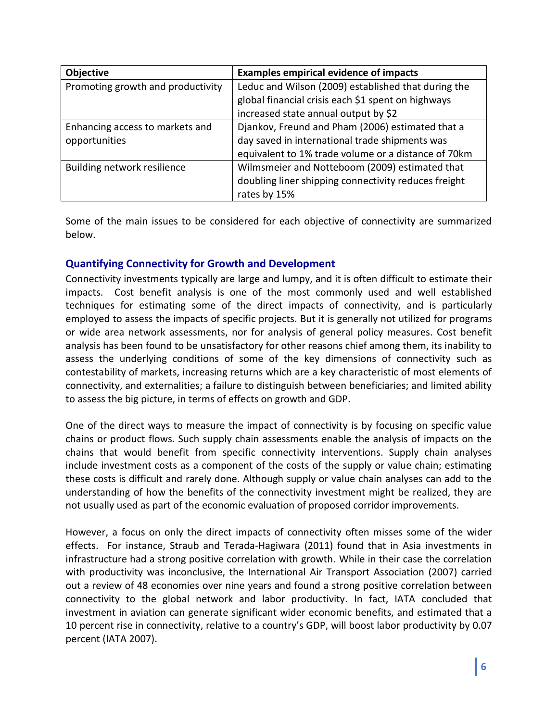| Objective                         | <b>Examples empirical evidence of impacts</b>        |
|-----------------------------------|------------------------------------------------------|
| Promoting growth and productivity | Leduc and Wilson (2009) established that during the  |
|                                   | global financial crisis each \$1 spent on highways   |
|                                   | increased state annual output by \$2                 |
| Enhancing access to markets and   | Djankov, Freund and Pham (2006) estimated that a     |
| opportunities                     | day saved in international trade shipments was       |
|                                   | equivalent to 1% trade volume or a distance of 70km  |
| Building network resilience       | Wilmsmeier and Notteboom (2009) estimated that       |
|                                   | doubling liner shipping connectivity reduces freight |
|                                   | rates by 15%                                         |

Some of the main issues to be considered for each objective of connectivity are summarized below.

### **Quantifying Connectivity for Growth and Development**

Connectivity investments typically are large and lumpy, and it is often difficult to estimate their impacts. Cost benefit analysis is one of the most commonly used and well established techniques for estimating some of the direct impacts of connectivity, and is particularly employed to assess the impacts of specific projects. But it is generally not utilized for programs or wide area network assessments, nor for analysis of general policy measures. Cost benefit analysis has been found to be unsatisfactory for other reasons chief among them, its inability to assess the underlying conditions of some of the key dimensions of connectivity such as contestability of markets, increasing returns which are a key characteristic of most elements of connectivity, and externalities; a failure to distinguish between beneficiaries; and limited ability to assess the big picture, in terms of effects on growth and GDP.

One of the direct ways to measure the impact of connectivity is by focusing on specific value chains or product flows. Such supply chain assessments enable the analysis of impacts on the chains that would benefit from specific connectivity interventions. Supply chain analyses include investment costs as a component of the costs of the supply or value chain; estimating these costs is difficult and rarely done. Although supply or value chain analyses can add to the understanding of how the benefits of the connectivity investment might be realized, they are not usually used as part of the economic evaluation of proposed corridor improvements.

However, a focus on only the direct impacts of connectivity often misses some of the wider effects. For instance, Straub and Terada-Hagiwara (2011) found that in Asia investments in infrastructure had a strong positive correlation with growth. While in their case the correlation with productivity was inconclusive, the International Air Transport Association (2007) carried out a review of 48 economies over nine years and found a strong positive correlation between connectivity to the global network and labor productivity. In fact, IATA concluded that investment in aviation can generate significant wider economic benefits, and estimated that a 10 percent rise in connectivity, relative to a country's GDP, will boost labor productivity by 0.07 percent (IATA 2007).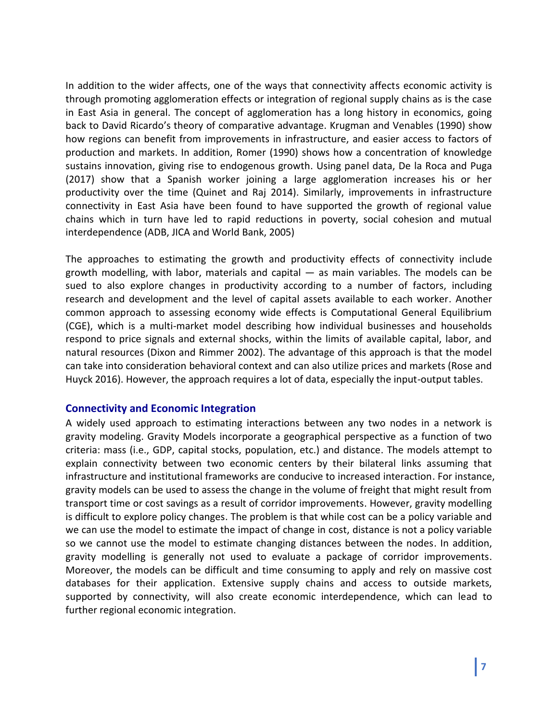In addition to the wider affects, one of the ways that connectivity affects economic activity is through promoting agglomeration effects or integration of regional supply chains as is the case in East Asia in general. The concept of agglomeration has a long history in economics, going back to David Ricardo's theory of comparative advantage. Krugman and Venables (1990) show how regions can benefit from improvements in infrastructure, and easier access to factors of production and markets. In addition, Romer (1990) shows how a concentration of knowledge sustains innovation, giving rise to endogenous growth. Using panel data, De la Roca and Puga (2017) show that a Spanish worker joining a large agglomeration increases his or her productivity over the time (Quinet and Raj 2014). Similarly, improvements in infrastructure connectivity in East Asia have been found to have supported the growth of regional value chains which in turn have led to rapid reductions in poverty, social cohesion and mutual interdependence (ADB, JICA and World Bank, 2005)

The approaches to estimating the growth and productivity effects of connectivity include growth modelling, with labor, materials and capital — as main variables. The models can be sued to also explore changes in productivity according to a number of factors, including research and development and the level of capital assets available to each worker. Another common approach to assessing economy wide effects is Computational General Equilibrium (CGE), which is a multi-market model describing how individual businesses and households respond to price signals and external shocks, within the limits of available capital, labor, and natural resources (Dixon and Rimmer 2002). The advantage of this approach is that the model can take into consideration behavioral context and can also utilize prices and markets (Rose and Huyck 2016). However, the approach requires a lot of data, especially the input-output tables.

#### **Connectivity and Economic Integration**

A widely used approach to estimating interactions between any two nodes in a network is gravity modeling. Gravity Models incorporate a geographical perspective as a function of two criteria: mass (i.e., GDP, capital stocks, population, etc.) and distance. The models attempt to explain connectivity between two economic centers by their bilateral links assuming that infrastructure and institutional frameworks are conducive to increased interaction. For instance, gravity models can be used to assess the change in the volume of freight that might result from transport time or cost savings as a result of corridor improvements. However, gravity modelling is difficult to explore policy changes. The problem is that while cost can be a policy variable and we can use the model to estimate the impact of change in cost, distance is not a policy variable so we cannot use the model to estimate changing distances between the nodes. In addition, gravity modelling is generally not used to evaluate a package of corridor improvements. Moreover, the models can be difficult and time consuming to apply and rely on massive cost databases for their application. Extensive supply chains and access to outside markets, supported by connectivity, will also create economic interdependence, which can lead to further regional economic integration.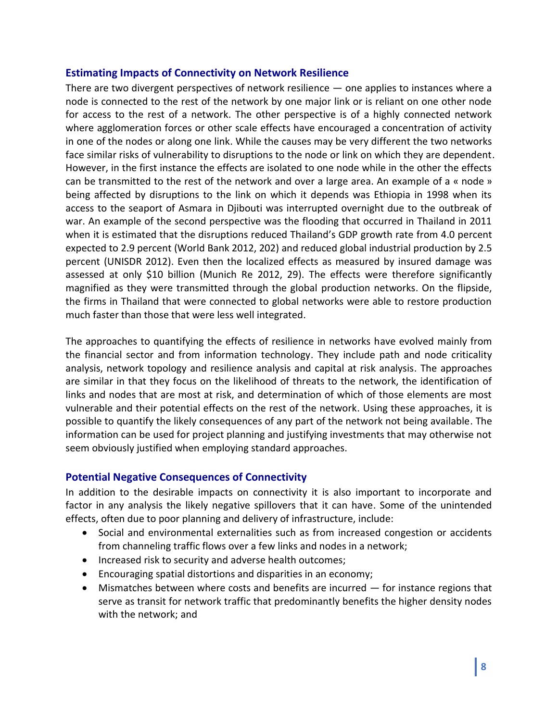#### **Estimating Impacts of Connectivity on Network Resilience**

There are two divergent perspectives of network resilience — one applies to instances where a node is connected to the rest of the network by one major link or is reliant on one other node for access to the rest of a network. The other perspective is of a highly connected network where agglomeration forces or other scale effects have encouraged a concentration of activity in one of the nodes or along one link. While the causes may be very different the two networks face similar risks of vulnerability to disruptions to the node or link on which they are dependent. However, in the first instance the effects are isolated to one node while in the other the effects can be transmitted to the rest of the network and over a large area. An example of a « node » being affected by disruptions to the link on which it depends was Ethiopia in 1998 when its access to the seaport of Asmara in Djibouti was interrupted overnight due to the outbreak of war. An example of the second perspective was the flooding that occurred in Thailand in 2011 when it is estimated that the disruptions reduced Thailand's GDP growth rate from 4.0 percent expected to 2.9 percent (World Bank 2012, 202) and reduced global industrial production by 2.5 percent (UNISDR 2012). Even then the localized effects as measured by insured damage was assessed at only \$10 billion (Munich Re 2012, 29). The effects were therefore significantly magnified as they were transmitted through the global production networks. On the flipside, the firms in Thailand that were connected to global networks were able to restore production much faster than those that were less well integrated.

The approaches to quantifying the effects of resilience in networks have evolved mainly from the financial sector and from information technology. They include path and node criticality analysis, network topology and resilience analysis and capital at risk analysis. The approaches are similar in that they focus on the likelihood of threats to the network, the identification of links and nodes that are most at risk, and determination of which of those elements are most vulnerable and their potential effects on the rest of the network. Using these approaches, it is possible to quantify the likely consequences of any part of the network not being available. The information can be used for project planning and justifying investments that may otherwise not seem obviously justified when employing standard approaches.

#### **Potential Negative Consequences of Connectivity**

In addition to the desirable impacts on connectivity it is also important to incorporate and factor in any analysis the likely negative spillovers that it can have. Some of the unintended effects, often due to poor planning and delivery of infrastructure, include:

- Social and environmental externalities such as from increased congestion or accidents from channeling traffic flows over a few links and nodes in a network;
- Increased risk to security and adverse health outcomes;
- Encouraging spatial distortions and disparities in an economy;
- Mismatches between where costs and benefits are incurred for instance regions that serve as transit for network traffic that predominantly benefits the higher density nodes with the network; and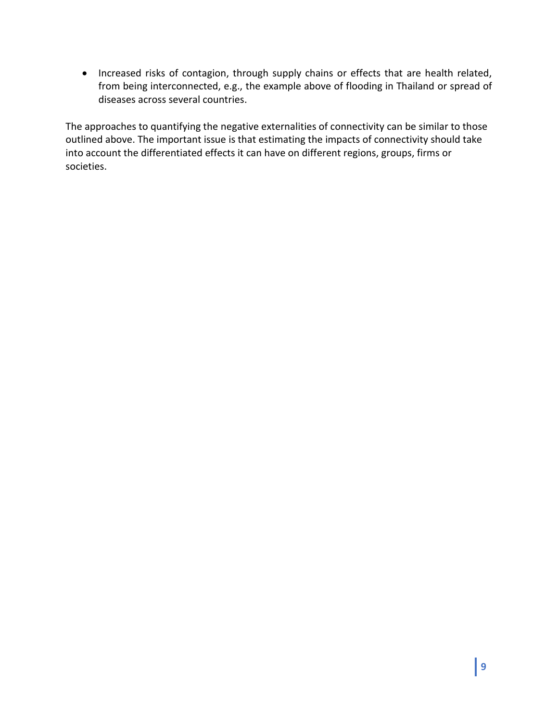• Increased risks of contagion, through supply chains or effects that are health related, from being interconnected, e.g., the example above of flooding in Thailand or spread of diseases across several countries.

The approaches to quantifying the negative externalities of connectivity can be similar to those outlined above. The important issue is that estimating the impacts of connectivity should take into account the differentiated effects it can have on different regions, groups, firms or societies.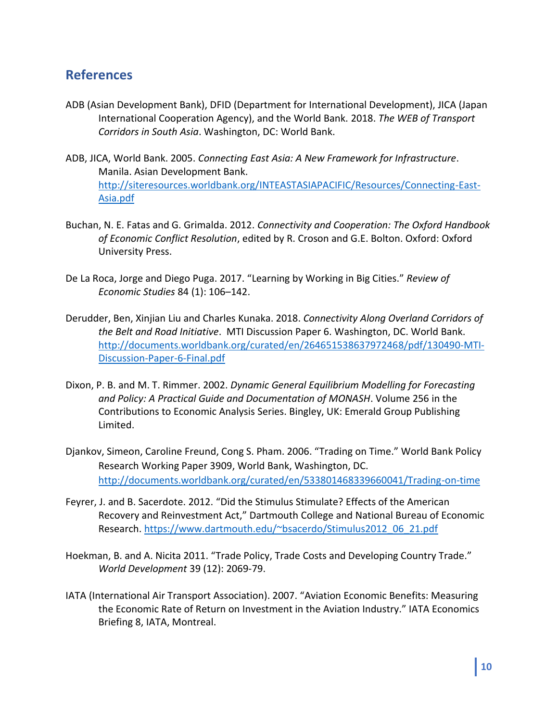# **References**

- ADB (Asian Development Bank), DFID (Department for International Development), JICA (Japan International Cooperation Agency), and the World Bank. 2018. *The WEB of Transport Corridors in South Asia*. Washington, DC: World Bank.
- ADB, JICA, World Bank. 2005. *Connecting East Asia: A New Framework for Infrastructure*. Manila. Asian Development Bank. [http://siteresources.worldbank.org/INTEASTASIAPACIFIC/Resources/Connecting-East-](http://siteresources.worldbank.org/INTEASTASIAPACIFIC/Resources/Connecting-East-Asia.pdf)[Asia.pdf](http://siteresources.worldbank.org/INTEASTASIAPACIFIC/Resources/Connecting-East-Asia.pdf)
- Buchan, N. E. Fatas and G. Grimalda. 2012. *Connectivity and Cooperation: The Oxford Handbook of Economic Conflict Resolution*, edited by R. Croson and G.E. Bolton. Oxford: Oxford University Press.
- De La Roca, Jorge and Diego Puga. 2017. "Learning by Working in Big Cities." *Review of Economic Studies* 84 (1): 106–142.
- Derudder, Ben, Xinjian Liu and Charles Kunaka. 2018. *Connectivity Along Overland Corridors of the Belt and Road Initiative*. MTI Discussion Paper 6. Washington, DC. World Bank. [http://documents.worldbank.org/curated/en/264651538637972468/pdf/130490-MTI-](http://documents.worldbank.org/curated/en/264651538637972468/pdf/130490-MTI-Discussion-Paper-6-Final.pdf)[Discussion-Paper-6-Final.pdf](http://documents.worldbank.org/curated/en/264651538637972468/pdf/130490-MTI-Discussion-Paper-6-Final.pdf)
- Dixon, P. B. and M. T. Rimmer. 2002. *Dynamic General Equilibrium Modelling for Forecasting and Policy: A Practical Guide and Documentation of MONASH*. Volume 256 in the Contributions to Economic Analysis Series. Bingley, UK: Emerald Group Publishing Limited.
- Djankov, Simeon, Caroline Freund, Cong S. Pham. 2006. "Trading on Time." World Bank Policy Research Working Paper 3909, World Bank, Washington, DC. <http://documents.worldbank.org/curated/en/533801468339660041/Trading-on-time>
- Feyrer, J. and B. Sacerdote. 2012. "Did the Stimulus Stimulate? Effects of the American Recovery and Reinvestment Act," Dartmouth College and National Bureau of Economic Research. [https://www.dartmouth.edu/~bsacerdo/Stimulus2012\\_06\\_21.pdf](https://www.dartmouth.edu/~bsacerdo/Stimulus2012_06_21.pdf)
- Hoekman, B. and A. Nicita 2011. "Trade Policy, Trade Costs and Developing Country Trade." *World Development* 39 (12): 2069-79.
- IATA (International Air Transport Association). 2007. "Aviation Economic Benefits: Measuring the Economic Rate of Return on Investment in the Aviation Industry." IATA Economics Briefing 8, IATA, Montreal.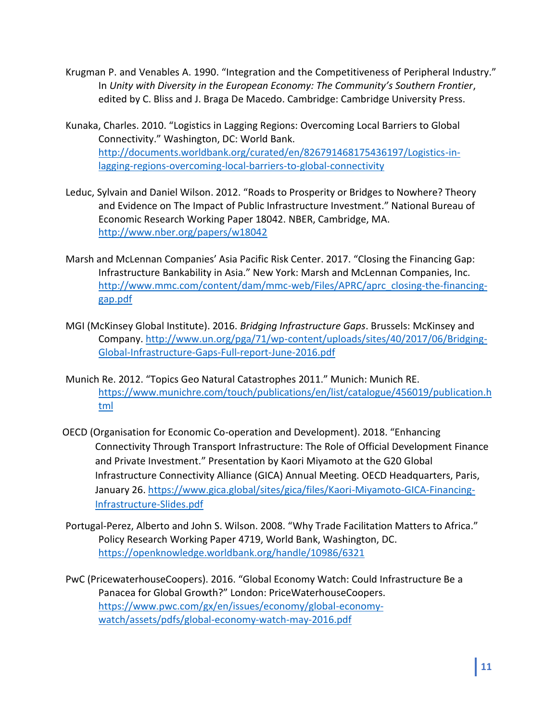- Krugman P. and Venables A. 1990. "Integration and the Competitiveness of Peripheral Industry." In *Unity with Diversity in the European Economy: The Community's Southern Frontier*, edited by C. Bliss and J. Braga De Macedo. Cambridge: Cambridge University Press.
- Kunaka, Charles. 2010. "Logistics in Lagging Regions: Overcoming Local Barriers to Global Connectivity." Washington, DC: World Bank. [http://documents.worldbank.org/curated/en/826791468175436197/Logistics-in](http://documents.worldbank.org/curated/en/826791468175436197/Logistics-in-lagging-regions-overcoming-local-barriers-to-global-connectivity)[lagging-regions-overcoming-local-barriers-to-global-connectivity](http://documents.worldbank.org/curated/en/826791468175436197/Logistics-in-lagging-regions-overcoming-local-barriers-to-global-connectivity)
- Leduc, Sylvain and Daniel Wilson. 2012. "Roads to Prosperity or Bridges to Nowhere? Theory and Evidence on The Impact of Public Infrastructure Investment." National Bureau of Economic Research Working Paper 18042. NBER, Cambridge, MA. <http://www.nber.org/papers/w18042>
- Marsh and McLennan Companies' Asia Pacific Risk Center. 2017. "Closing the Financing Gap: Infrastructure Bankability in Asia." New York: Marsh and McLennan Companies, Inc. [http://www.mmc.com/content/dam/mmc-web/Files/APRC/aprc\\_closing-the-financing](http://www.mmc.com/content/dam/mmc-web/Files/APRC/aprc_closing-the-financing-gap.pdf)[gap.pdf](http://www.mmc.com/content/dam/mmc-web/Files/APRC/aprc_closing-the-financing-gap.pdf)
- MGI (McKinsey Global Institute). 2016. *Bridging Infrastructure Gaps*. Brussels: McKinsey and Company. [http://www.un.org/pga/71/wp-content/uploads/sites/40/2017/06/Bridging-](http://www.un.org/pga/71/wp-content/uploads/sites/40/2017/06/Bridging-Global-Infrastructure-Gaps-Full-report-June-2016.pdf)[Global-Infrastructure-Gaps-Full-report-June-2016.pdf](http://www.un.org/pga/71/wp-content/uploads/sites/40/2017/06/Bridging-Global-Infrastructure-Gaps-Full-report-June-2016.pdf)
- Munich Re. 2012. "Topics Geo Natural Catastrophes 2011." Munich: Munich RE. [https://www.munichre.com/touch/publications/en/list/catalogue/456019/publication.h](https://www.munichre.com/touch/publications/en/list/catalogue/456019/publication.html) [tml](https://www.munichre.com/touch/publications/en/list/catalogue/456019/publication.html)
- OECD (Organisation for Economic Co-operation and Development). 2018. "Enhancing Connectivity Through Transport Infrastructure: The Role of Official Development Finance and Private Investment." Presentation by Kaori Miyamoto at the G20 Global Infrastructure Connectivity Alliance (GICA) Annual Meeting. OECD Headquarters, Paris, January 26. [https://www.gica.global/sites/gica/files/Kaori-Miyamoto-GICA-Financing-](https://www.gica.global/sites/gica/files/Kaori-Miyamoto-GICA-Financing-Infrastructure-Slides.pdf)[Infrastructure-Slides.pdf](https://www.gica.global/sites/gica/files/Kaori-Miyamoto-GICA-Financing-Infrastructure-Slides.pdf)
- Portugal-Perez, Alberto and John S. Wilson. 2008. "Why Trade Facilitation Matters to Africa." Policy Research Working Paper 4719, World Bank, Washington, DC. <https://openknowledge.worldbank.org/handle/10986/6321>
- PwC (PricewaterhouseCoopers). 2016. "Global Economy Watch: Could Infrastructure Be a Panacea for Global Growth?" London: PriceWaterhouseCoopers. [https://www.pwc.com/gx/en/issues/economy/global-economy](https://www.pwc.com/gx/en/issues/economy/global-economy-watch/assets/pdfs/global-economy-watch-may-2016.pdf)[watch/assets/pdfs/global-economy-watch-may-2016.pdf](https://www.pwc.com/gx/en/issues/economy/global-economy-watch/assets/pdfs/global-economy-watch-may-2016.pdf)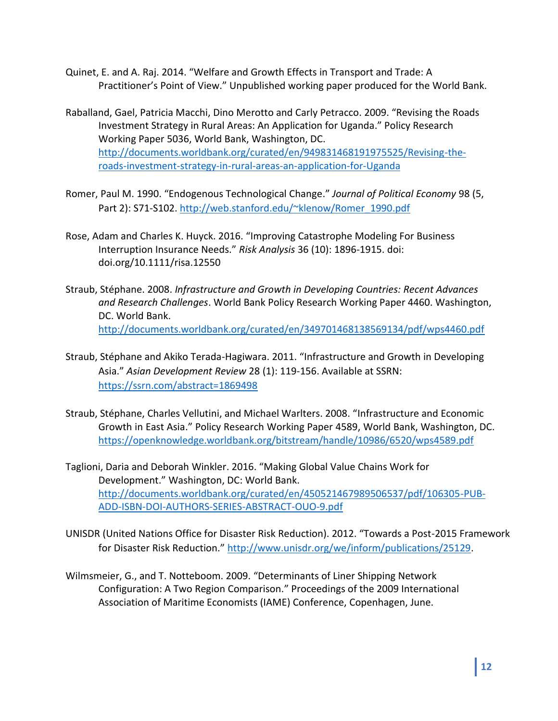- Quinet, E. and A. Raj. 2014. "Welfare and Growth Effects in Transport and Trade: A Practitioner's Point of View." Unpublished working paper produced for the World Bank.
- Raballand, Gael, Patricia Macchi, Dino Merotto and Carly Petracco. 2009. "Revising the Roads Investment Strategy in Rural Areas: An Application for Uganda." Policy Research Working Paper 5036, World Bank, Washington, DC. [http://documents.worldbank.org/curated/en/949831468191975525/Revising-the](http://documents.worldbank.org/curated/en/949831468191975525/Revising-the-roads-investment-strategy-in-rural-areas-an-application-for-Uganda)[roads-investment-strategy-in-rural-areas-an-application-for-Uganda](http://documents.worldbank.org/curated/en/949831468191975525/Revising-the-roads-investment-strategy-in-rural-areas-an-application-for-Uganda)
- Romer, Paul M. 1990. "Endogenous Technological Change." *Journal of Political Economy* 98 (5, Part 2): S71-S102. [http://web.stanford.edu/~klenow/Romer\\_1990.pdf](http://web.stanford.edu/~klenow/Romer_1990.pdf)
- Rose, Adam and Charles K. Huyck. 2016. "Improving Catastrophe Modeling For Business Interruption Insurance Needs." *Risk Analysis* 36 (10): 1896-1915. doi: doi.org/10.1111/risa.12550
- Straub, Stéphane. 2008. *Infrastructure and Growth in Developing Countries: Recent Advances and Research Challenges*. World Bank Policy Research Working Paper 4460. Washington, DC. World Bank. <http://documents.worldbank.org/curated/en/349701468138569134/pdf/wps4460.pdf>
- Straub, Stéphane and Akiko Terada-Hagiwara. 2011. "Infrastructure and Growth in Developing Asia." *Asian Development Review* 28 (1): 119-156. Available at SSRN: <https://ssrn.com/abstract=1869498>
- Straub, Stéphane, Charles Vellutini, and Michael Warlters. 2008. "Infrastructure and Economic Growth in East Asia." Policy Research Working Paper 4589, World Bank, Washington, DC. <https://openknowledge.worldbank.org/bitstream/handle/10986/6520/wps4589.pdf>
- Taglioni, Daria and Deborah Winkler. 2016. "Making Global Value Chains Work for Development." Washington, DC: World Bank. [http://documents.worldbank.org/curated/en/450521467989506537/pdf/106305-PUB-](http://documents.worldbank.org/curated/en/450521467989506537/pdf/106305-PUB-ADD-ISBN-DOI-AUTHORS-SERIES-ABSTRACT-OUO-9.pdf)[ADD-ISBN-DOI-AUTHORS-SERIES-ABSTRACT-OUO-9.pdf](http://documents.worldbank.org/curated/en/450521467989506537/pdf/106305-PUB-ADD-ISBN-DOI-AUTHORS-SERIES-ABSTRACT-OUO-9.pdf)
- UNISDR (United Nations Office for Disaster Risk Reduction). 2012. "Towards a Post-2015 Framework for Disaster Risk Reduction." [http://www.unisdr.org/we/inform/publications/25129.](http://www.unisdr.org/we/inform/publications/25129)
- Wilmsmeier, G., and T. Notteboom. 2009. "Determinants of Liner Shipping Network Configuration: A Two Region Comparison." Proceedings of the 2009 International Association of Maritime Economists (IAME) Conference, Copenhagen, June.